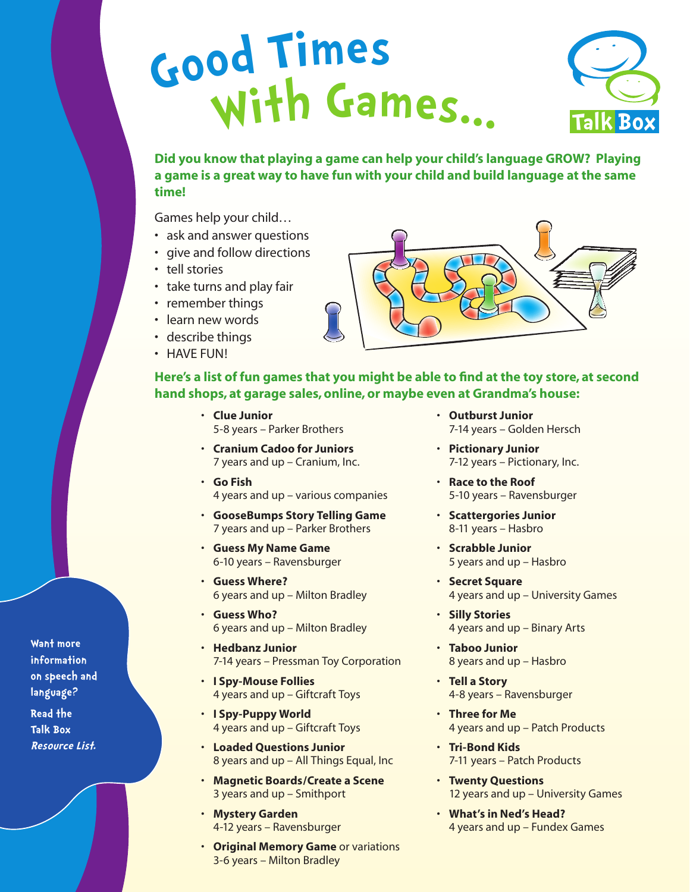## **<sup>G</sup>o<sup>o</sup><sup>d</sup> <sup>T</sup>ime<sup>s</sup> With <sup>G</sup>ames...**



**Did you know that playing a game can help your child's language GROW? Playing a game is a great way to have fun with your child and build language at the same time!** 

Games help your child…

- ask and answer questions
- give and follow directions
- tell stories
- take turns and play fair
- remember things
- learn new words
- describe things
- HAVE FUN!



## Here's a list of fun games that you might be able to find at the toy store, at second **hand shops, at garage sales, online, or maybe even at Grandma's house:**

- **Clue Junior** 5-8 years – Parker Brothers
- **Cranium Cadoo for Juniors** 7 years and up – Cranium, Inc.
- • **Go Fish** 4 years and up – various companies
- **GooseBumps Story Telling Game**  7 years and up – Parker Brothers
- **Guess My Name Game**  6-10 years – Ravensburger
- **Guess Where?** 6 years and up – Milton Bradley
- **Guess Who?**  6 years and up – Milton Bradley
- **Hedbanz Junior**  7-14 years – Pressman Toy Corporation
- **I Spy-Mouse Follies** 4 years and up – Giftcraft Toys
- **I Spy-Puppy World** 4 years and up – Giftcraft Toys
- **Loaded Questions Junior** 8 years and up – All Things Equal, Inc
- **Magnetic Boards/Create a Scene** 3 years and up – Smithport
- **Mystery Garden** 4-12 years – Ravensburger
- **Original Memory Game** or variations 3-6 years – Milton Bradley
- **Outburst Junior** 7-14 years – Golden Hersch
- **Pictionary Junior** 7-12 years – Pictionary, Inc.
- **Race to the Roof** 5-10 years – Ravensburger
- **Scattergories Junior** 8-11 years – Hasbro
- **Scrabble Junior** 5 years and up – Hasbro
- **Secret Square** 4 years and up – University Games
- **Silly Stories** 4 years and up – Binary Arts
- **Taboo Junior** 8 years and up – Hasbro
- **Tell a Story** 4-8 years – Ravensburger
- **Three for Me** 4 years and up – Patch Products
- **Tri-Bond Kids** 7-11 years – Patch Products
- **Twenty Questions** 12 years and up – University Games
- **What's in Ned's Head?** 4 years and up – Fundex Games

**Want more information on speech and language? Read the Talk Box Resource List.**